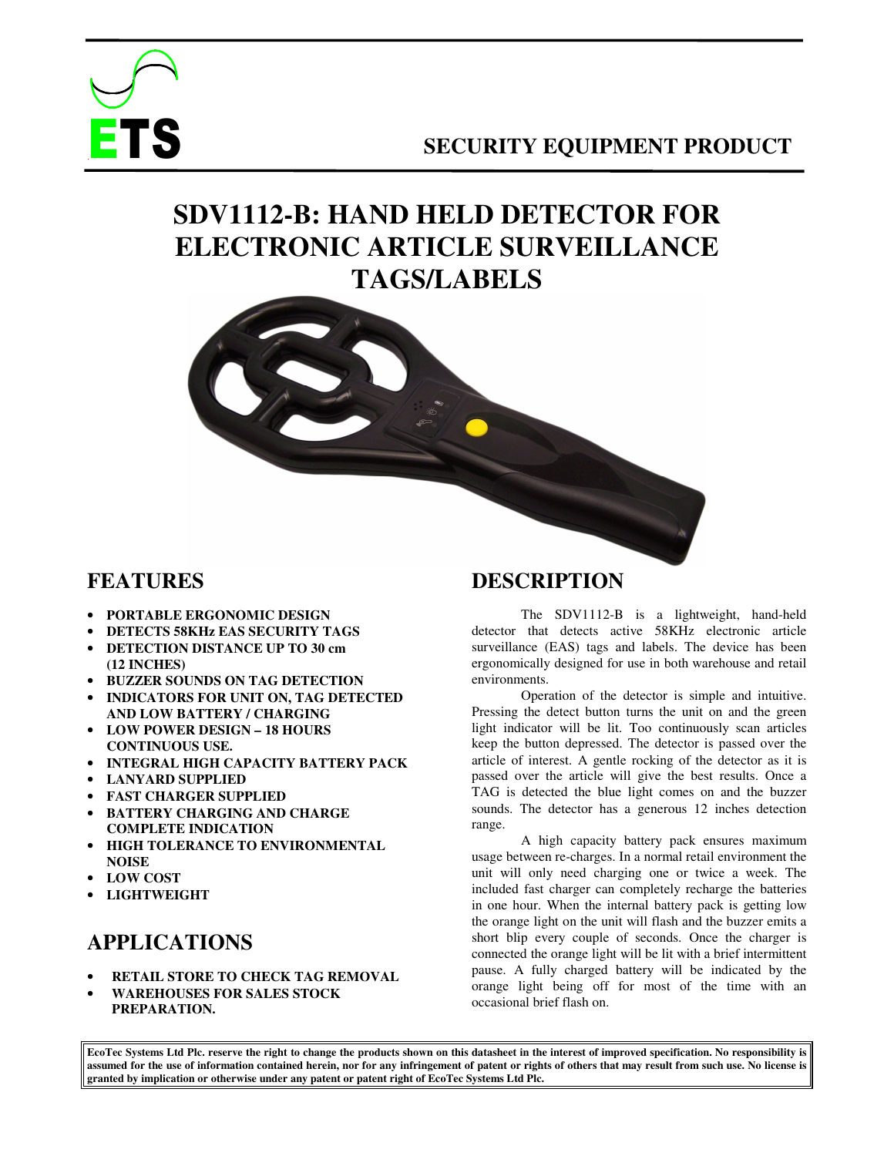

### **SECURITY EQUIPMENT PRODUCT**

# **SDV1112-B: HAND HELD DETECTOR FOR ELECTRONIC ARTICLE SURVEILLANCE TAGS/LABELS**



#### **FEATURES**

- **PORTABLE ERGONOMIC DESIGN**
- **DETECTS 58KHz EAS SECURITY TAGS**
- **DETECTION DISTANCE UP TO 30 cm (12 INCHES)**
- **BUZZER SOUNDS ON TAG DETECTION**
- **INDICATORS FOR UNIT ON, TAG DETECTED AND LOW BATTERY / CHARGING**
- **LOW POWER DESIGN 18 HOURS CONTINUOUS USE.**
- **INTEGRAL HIGH CAPACITY BATTERY PACK**
- **LANYARD SUPPLIED**
- **FAST CHARGER SUPPLIED**
- **BATTERY CHARGING AND CHARGE COMPLETE INDICATION**
- **HIGH TOLERANCE TO ENVIRONMENTAL NOISE**
- **LOW COST**
- **LIGHTWEIGHT**

### **APPLICATIONS**

- **RETAIL STORE TO CHECK TAG REMOVAL**
- **WAREHOUSES FOR SALES STOCK PREPARATION.**

### **DESCRIPTION**

The SDV1112-B is a lightweight, hand-held detector that detects active 58KHz electronic article surveillance (EAS) tags and labels. The device has been ergonomically designed for use in both warehouse and retail environments.

Operation of the detector is simple and intuitive. Pressing the detect button turns the unit on and the green light indicator will be lit. Too continuously scan articles keep the button depressed. The detector is passed over the article of interest. A gentle rocking of the detector as it is passed over the article will give the best results. Once a TAG is detected the blue light comes on and the buzzer sounds. The detector has a generous 12 inches detection range.

A high capacity battery pack ensures maximum usage between re-charges. In a normal retail environment the unit will only need charging one or twice a week. The included fast charger can completely recharge the batteries in one hour. When the internal battery pack is getting low the orange light on the unit will flash and the buzzer emits a short blip every couple of seconds. Once the charger is connected the orange light will be lit with a brief intermittent pause. A fully charged battery will be indicated by the orange light being off for most of the time with an occasional brief flash on.

**EcoTec Systems Ltd Plc. reserve the right to change the products shown on this datasheet in the interest of improved specification. No responsibility is assumed for the use of information contained herein, nor for any infringement of patent or rights of others that may result from such use. No license is granted by implication or otherwise under any patent or patent right of EcoTec Systems Ltd Plc.**